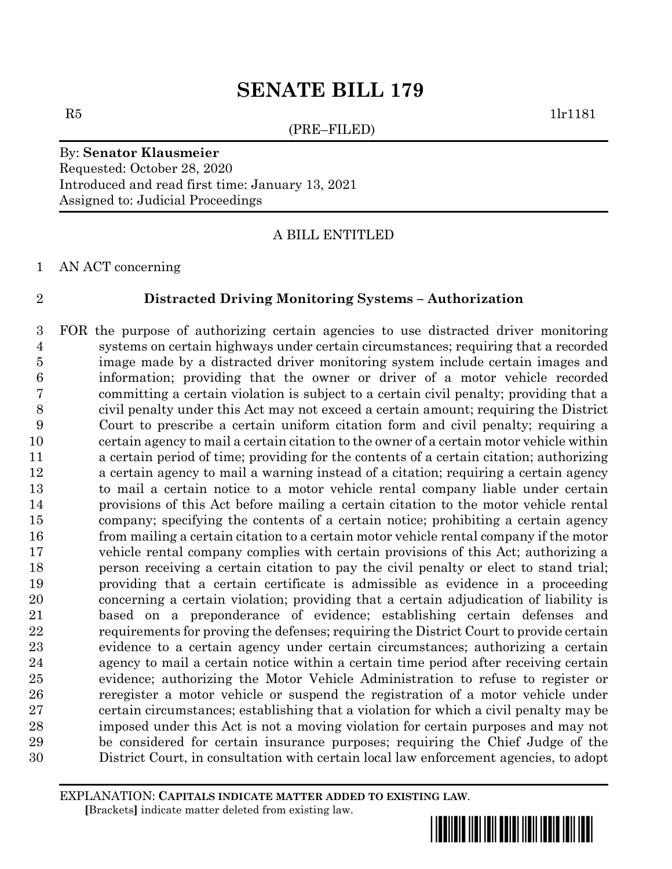(PRE–FILED)

 $R5$  1lr1181

# By: **Senator Klausmeier** Requested: October 28, 2020 Introduced and read first time: January 13, 2021 Assigned to: Judicial Proceedings

A BILL ENTITLED

AN ACT concerning

# **Distracted Driving Monitoring Systems – Authorization**

 FOR the purpose of authorizing certain agencies to use distracted driver monitoring systems on certain highways under certain circumstances; requiring that a recorded image made by a distracted driver monitoring system include certain images and information; providing that the owner or driver of a motor vehicle recorded committing a certain violation is subject to a certain civil penalty; providing that a civil penalty under this Act may not exceed a certain amount; requiring the District Court to prescribe a certain uniform citation form and civil penalty; requiring a certain agency to mail a certain citation to the owner of a certain motor vehicle within a certain period of time; providing for the contents of a certain citation; authorizing a certain agency to mail a warning instead of a citation; requiring a certain agency to mail a certain notice to a motor vehicle rental company liable under certain provisions of this Act before mailing a certain citation to the motor vehicle rental company; specifying the contents of a certain notice; prohibiting a certain agency from mailing a certain citation to a certain motor vehicle rental company if the motor vehicle rental company complies with certain provisions of this Act; authorizing a person receiving a certain citation to pay the civil penalty or elect to stand trial; providing that a certain certificate is admissible as evidence in a proceeding concerning a certain violation; providing that a certain adjudication of liability is based on a preponderance of evidence; establishing certain defenses and requirements for proving the defenses; requiring the District Court to provide certain evidence to a certain agency under certain circumstances; authorizing a certain agency to mail a certain notice within a certain time period after receiving certain evidence; authorizing the Motor Vehicle Administration to refuse to register or reregister a motor vehicle or suspend the registration of a motor vehicle under certain circumstances; establishing that a violation for which a civil penalty may be imposed under this Act is not a moving violation for certain purposes and may not be considered for certain insurance purposes; requiring the Chief Judge of the District Court, in consultation with certain local law enforcement agencies, to adopt

EXPLANATION: **CAPITALS INDICATE MATTER ADDED TO EXISTING LAW**.  **[**Brackets**]** indicate matter deleted from existing law.

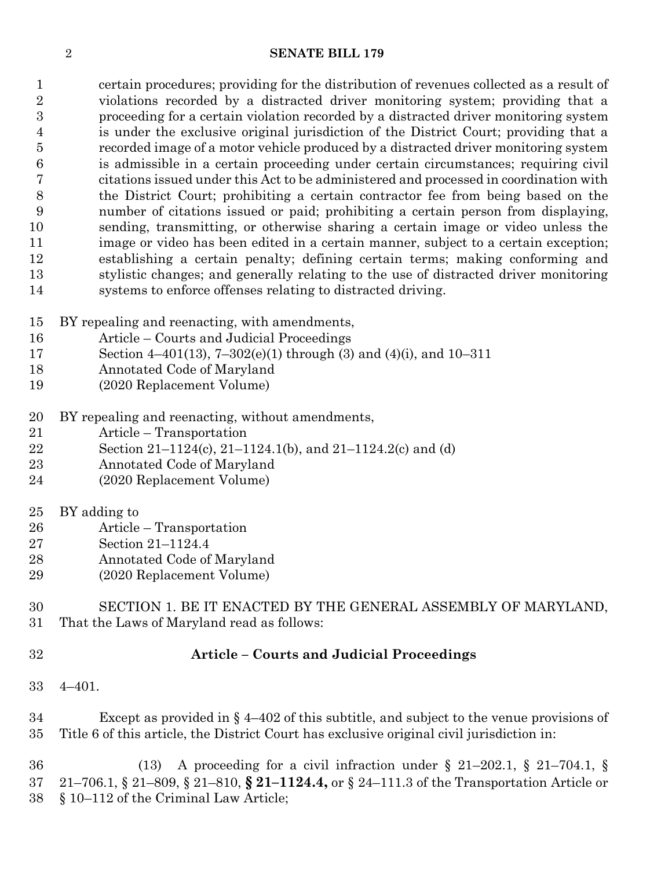certain procedures; providing for the distribution of revenues collected as a result of violations recorded by a distracted driver monitoring system; providing that a proceeding for a certain violation recorded by a distracted driver monitoring system is under the exclusive original jurisdiction of the District Court; providing that a recorded image of a motor vehicle produced by a distracted driver monitoring system is admissible in a certain proceeding under certain circumstances; requiring civil citations issued under this Act to be administered and processed in coordination with the District Court; prohibiting a certain contractor fee from being based on the number of citations issued or paid; prohibiting a certain person from displaying, sending, transmitting, or otherwise sharing a certain image or video unless the image or video has been edited in a certain manner, subject to a certain exception; establishing a certain penalty; defining certain terms; making conforming and stylistic changes; and generally relating to the use of distracted driver monitoring systems to enforce offenses relating to distracted driving.

- BY repealing and reenacting, with amendments,
- Article Courts and Judicial Proceedings
- Section 4–401(13), 7–302(e)(1) through (3) and (4)(i), and 10–311
- Annotated Code of Maryland
- (2020 Replacement Volume)
- BY repealing and reenacting, without amendments,
- Article Transportation
- Section 21–1124(c), 21–1124.1(b), and 21–1124.2(c) and (d)
- Annotated Code of Maryland
- (2020 Replacement Volume)
- BY adding to
- Article Transportation
- Section 21–1124.4
- Annotated Code of Maryland
- (2020 Replacement Volume)

## SECTION 1. BE IT ENACTED BY THE GENERAL ASSEMBLY OF MARYLAND, That the Laws of Maryland read as follows:

# **Article – Courts and Judicial Proceedings**

4–401.

 Except as provided in § 4–402 of this subtitle, and subject to the venue provisions of Title 6 of this article, the District Court has exclusive original civil jurisdiction in:

 (13) A proceeding for a civil infraction under § 21–202.1, § 21–704.1, § 21–706.1, § 21–809, § 21–810, **§ 21–1124.4,** or § 24–111.3 of the Transportation Article or § 10–112 of the Criminal Law Article;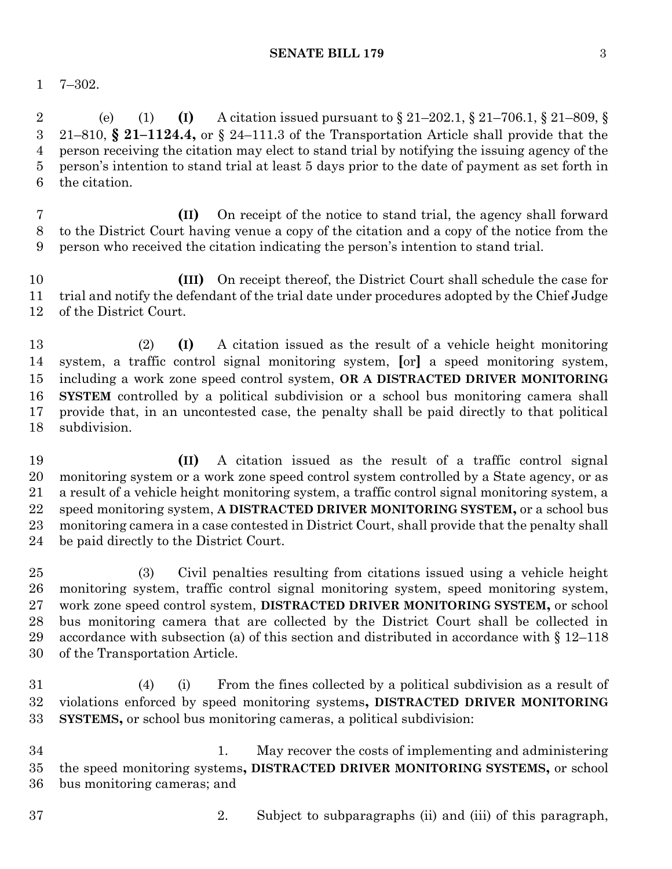7–302.

 (e) (1) **(I)** A citation issued pursuant to § 21–202.1, § 21–706.1, § 21–809, § 21–810, **§ 21–1124.4,** or § 24–111.3 of the Transportation Article shall provide that the person receiving the citation may elect to stand trial by notifying the issuing agency of the person's intention to stand trial at least 5 days prior to the date of payment as set forth in the citation.

 **(II)** On receipt of the notice to stand trial, the agency shall forward to the District Court having venue a copy of the citation and a copy of the notice from the person who received the citation indicating the person's intention to stand trial.

 **(III)** On receipt thereof, the District Court shall schedule the case for trial and notify the defendant of the trial date under procedures adopted by the Chief Judge of the District Court.

 (2) **(I)** A citation issued as the result of a vehicle height monitoring system, a traffic control signal monitoring system, **[**or**]** a speed monitoring system, including a work zone speed control system, **OR A DISTRACTED DRIVER MONITORING SYSTEM** controlled by a political subdivision or a school bus monitoring camera shall provide that, in an uncontested case, the penalty shall be paid directly to that political subdivision.

 **(II)** A citation issued as the result of a traffic control signal monitoring system or a work zone speed control system controlled by a State agency, or as a result of a vehicle height monitoring system, a traffic control signal monitoring system, a speed monitoring system, **A DISTRACTED DRIVER MONITORING SYSTEM,** or a school bus monitoring camera in a case contested in District Court, shall provide that the penalty shall be paid directly to the District Court.

 (3) Civil penalties resulting from citations issued using a vehicle height monitoring system, traffic control signal monitoring system, speed monitoring system, work zone speed control system, **DISTRACTED DRIVER MONITORING SYSTEM,** or school bus monitoring camera that are collected by the District Court shall be collected in 29 accordance with subsection (a) of this section and distributed in accordance with  $\S 12-118$ of the Transportation Article.

 (4) (i) From the fines collected by a political subdivision as a result of violations enforced by speed monitoring systems**, DISTRACTED DRIVER MONITORING SYSTEMS,** or school bus monitoring cameras, a political subdivision:

 1. May recover the costs of implementing and administering the speed monitoring systems**, DISTRACTED DRIVER MONITORING SYSTEMS,** or school bus monitoring cameras; and

- 
- 2. Subject to subparagraphs (ii) and (iii) of this paragraph,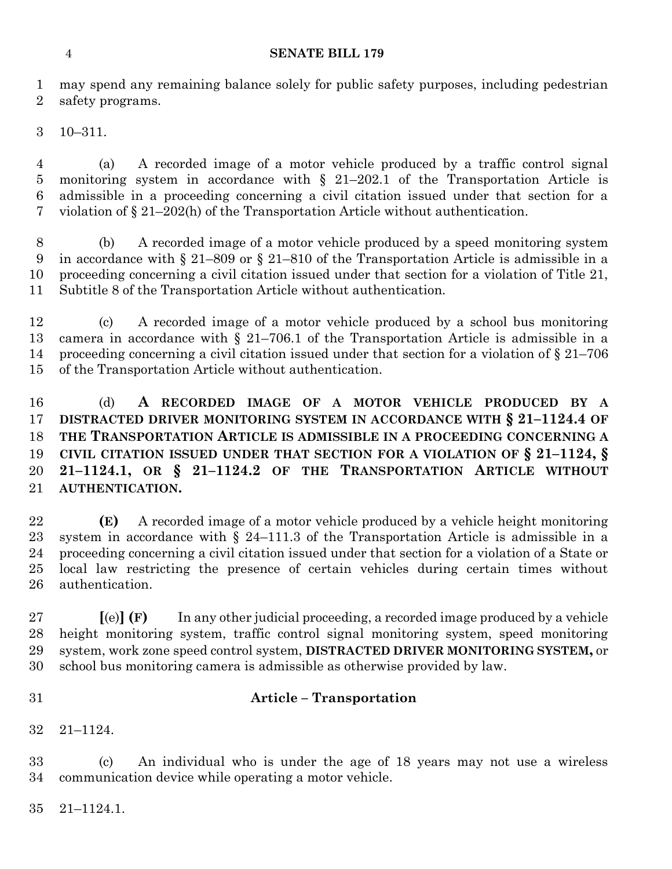may spend any remaining balance solely for public safety purposes, including pedestrian safety programs.

10–311.

 (a) A recorded image of a motor vehicle produced by a traffic control signal monitoring system in accordance with § 21–202.1 of the Transportation Article is admissible in a proceeding concerning a civil citation issued under that section for a violation of § 21–202(h) of the Transportation Article without authentication.

 (b) A recorded image of a motor vehicle produced by a speed monitoring system in accordance with § 21–809 or § 21–810 of the Transportation Article is admissible in a proceeding concerning a civil citation issued under that section for a violation of Title 21, Subtitle 8 of the Transportation Article without authentication.

 (c) A recorded image of a motor vehicle produced by a school bus monitoring camera in accordance with § 21–706.1 of the Transportation Article is admissible in a proceeding concerning a civil citation issued under that section for a violation of § 21–706 of the Transportation Article without authentication.

 (d) **A RECORDED IMAGE OF A MOTOR VEHICLE PRODUCED BY A DISTRACTED DRIVER MONITORING SYSTEM IN ACCORDANCE WITH § 21–1124.4 OF THE TRANSPORTATION ARTICLE IS ADMISSIBLE IN A PROCEEDING CONCERNING A CIVIL CITATION ISSUED UNDER THAT SECTION FOR A VIOLATION OF § 21–1124, § 21–1124.1, OR § 21–1124.2 OF THE TRANSPORTATION ARTICLE WITHOUT AUTHENTICATION.**

 **(E)** A recorded image of a motor vehicle produced by a vehicle height monitoring system in accordance with § 24–111.3 of the Transportation Article is admissible in a proceeding concerning a civil citation issued under that section for a violation of a State or local law restricting the presence of certain vehicles during certain times without authentication.

 **[**(e)**] (F)** In any other judicial proceeding, a recorded image produced by a vehicle height monitoring system, traffic control signal monitoring system, speed monitoring system, work zone speed control system, **DISTRACTED DRIVER MONITORING SYSTEM,** or school bus monitoring camera is admissible as otherwise provided by law.

# **Article – Transportation**

21–1124.

 (c) An individual who is under the age of 18 years may not use a wireless communication device while operating a motor vehicle.

21–1124.1.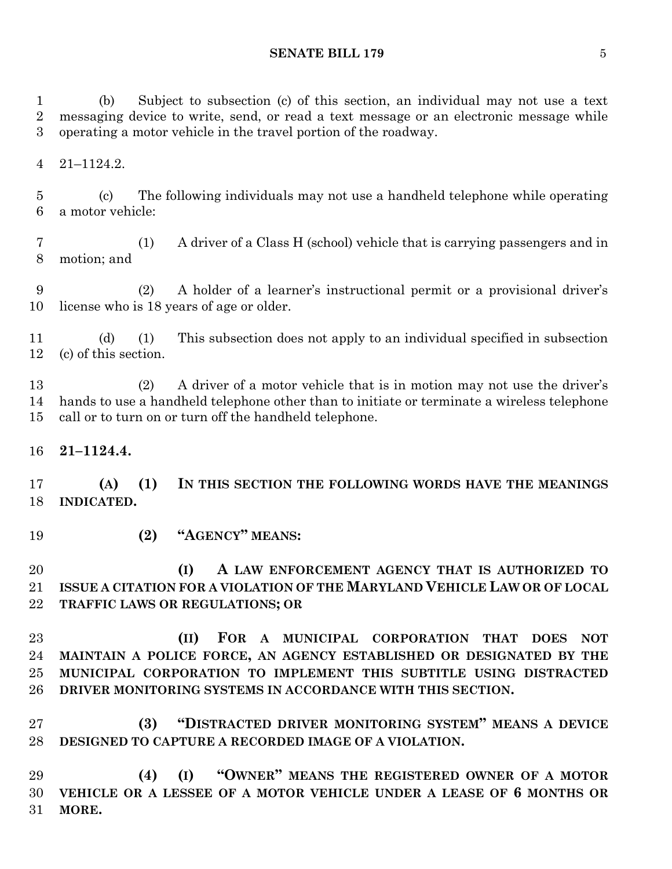(b) Subject to subsection (c) of this section, an individual may not use a text messaging device to write, send, or read a text message or an electronic message while operating a motor vehicle in the travel portion of the roadway.

21–1124.2.

 (c) The following individuals may not use a handheld telephone while operating a motor vehicle:

 (1) A driver of a Class H (school) vehicle that is carrying passengers and in motion; and

 (2) A holder of a learner's instructional permit or a provisional driver's license who is 18 years of age or older.

 (d) (1) This subsection does not apply to an individual specified in subsection (c) of this section.

 (2) A driver of a motor vehicle that is in motion may not use the driver's hands to use a handheld telephone other than to initiate or terminate a wireless telephone call or to turn on or turn off the handheld telephone.

**21–1124.4.**

 **(A) (1) IN THIS SECTION THE FOLLOWING WORDS HAVE THE MEANINGS INDICATED.**

**(2) "AGENCY" MEANS:**

# **(I) A LAW ENFORCEMENT AGENCY THAT IS AUTHORIZED TO ISSUE A CITATION FOR A VIOLATION OF THE MARYLAND VEHICLE LAW OR OF LOCAL TRAFFIC LAWS OR REGULATIONS; OR**

 **(II) FOR A MUNICIPAL CORPORATION THAT DOES NOT MAINTAIN A POLICE FORCE, AN AGENCY ESTABLISHED OR DESIGNATED BY THE MUNICIPAL CORPORATION TO IMPLEMENT THIS SUBTITLE USING DISTRACTED DRIVER MONITORING SYSTEMS IN ACCORDANCE WITH THIS SECTION.**

 **(3) "DISTRACTED DRIVER MONITORING SYSTEM" MEANS A DEVICE DESIGNED TO CAPTURE A RECORDED IMAGE OF A VIOLATION.**

 **(4) (I) "OWNER" MEANS THE REGISTERED OWNER OF A MOTOR VEHICLE OR A LESSEE OF A MOTOR VEHICLE UNDER A LEASE OF 6 MONTHS OR MORE.**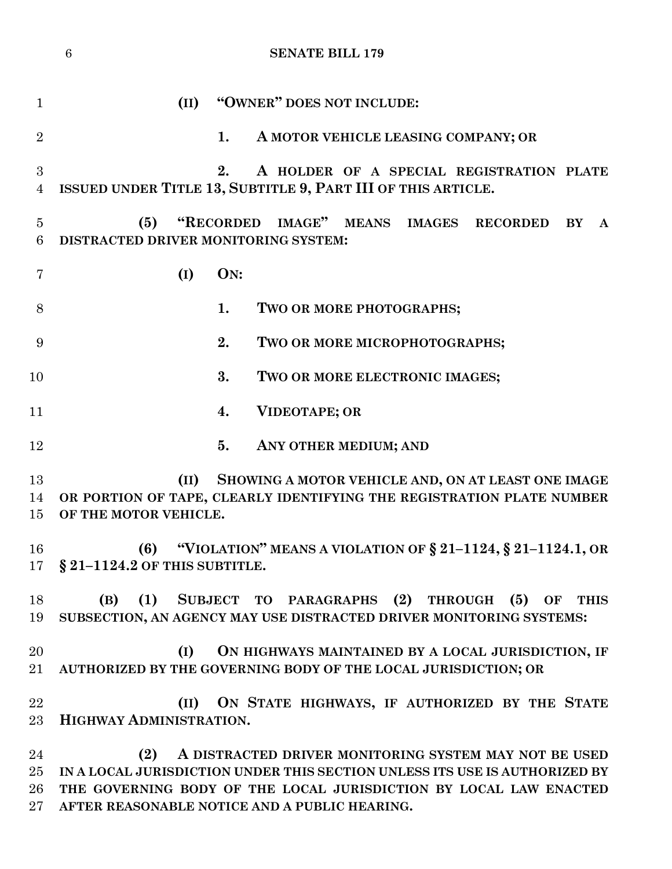|                                  | $\boldsymbol{6}$<br><b>SENATE BILL 179</b>                                                                                                                                                                                                                       |
|----------------------------------|------------------------------------------------------------------------------------------------------------------------------------------------------------------------------------------------------------------------------------------------------------------|
| $\mathbf{1}$                     | "OWNER" DOES NOT INCLUDE:<br>(II)                                                                                                                                                                                                                                |
| $\overline{2}$                   | 1.<br>A MOTOR VEHICLE LEASING COMPANY; OR                                                                                                                                                                                                                        |
| 3<br>$\overline{4}$              | 2.<br>A HOLDER OF A SPECIAL REGISTRATION PLATE<br>ISSUED UNDER TITLE 13, SUBTITLE 9, PART III OF THIS ARTICLE.                                                                                                                                                   |
| 5<br>6                           | "RECORDED IMAGE" MEANS IMAGES RECORDED<br>(5)<br>BY<br>$\mathbf{A}$<br>DISTRACTED DRIVER MONITORING SYSTEM:                                                                                                                                                      |
| 7                                | ON:<br>(I)                                                                                                                                                                                                                                                       |
| 8                                | 1.<br>TWO OR MORE PHOTOGRAPHS;                                                                                                                                                                                                                                   |
| 9                                | 2.<br>TWO OR MORE MICROPHOTOGRAPHS;                                                                                                                                                                                                                              |
| 10                               | 3.<br>TWO OR MORE ELECTRONIC IMAGES;                                                                                                                                                                                                                             |
| 11                               | <b>VIDEOTAPE; OR</b><br>4.                                                                                                                                                                                                                                       |
| 12                               | 5.<br>ANY OTHER MEDIUM; AND                                                                                                                                                                                                                                      |
| 13<br>14<br>15                   | (II)<br>SHOWING A MOTOR VEHICLE AND, ON AT LEAST ONE IMAGE<br>OR PORTION OF TAPE, CLEARLY IDENTIFYING THE REGISTRATION PLATE NUMBER<br>OF THE MOTOR VEHICLE.                                                                                                     |
| 16<br>17                         | (6) "VIOLATION" MEANS A VIOLATION OF $\S 21-1124$ , $\S 21-1124.1$ , OR<br>$§$ 21-1124.2 OF THIS SUBTITLE.                                                                                                                                                       |
| 18<br>19                         | (B) (1) SUBJECT TO PARAGRAPHS (2) THROUGH (5) OF THIS<br>SUBSECTION, AN AGENCY MAY USE DISTRACTED DRIVER MONITORING SYSTEMS:                                                                                                                                     |
| 20<br>$21\,$                     | (I)<br>ON HIGHWAYS MAINTAINED BY A LOCAL JURISDICTION, IF<br>AUTHORIZED BY THE GOVERNING BODY OF THE LOCAL JURISDICTION; OR                                                                                                                                      |
| 22<br>23                         | (II) ON STATE HIGHWAYS, IF AUTHORIZED BY THE STATE<br>HIGHWAY ADMINISTRATION.                                                                                                                                                                                    |
| 24<br>$25\,$<br>$26\,$<br>$27\,$ | A DISTRACTED DRIVER MONITORING SYSTEM MAY NOT BE USED<br>(2)<br>IN A LOCAL JURISDICTION UNDER THIS SECTION UNLESS ITS USE IS AUTHORIZED BY<br>THE GOVERNING BODY OF THE LOCAL JURISDICTION BY LOCAL LAW ENACTED<br>AFTER REASONABLE NOTICE AND A PUBLIC HEARING. |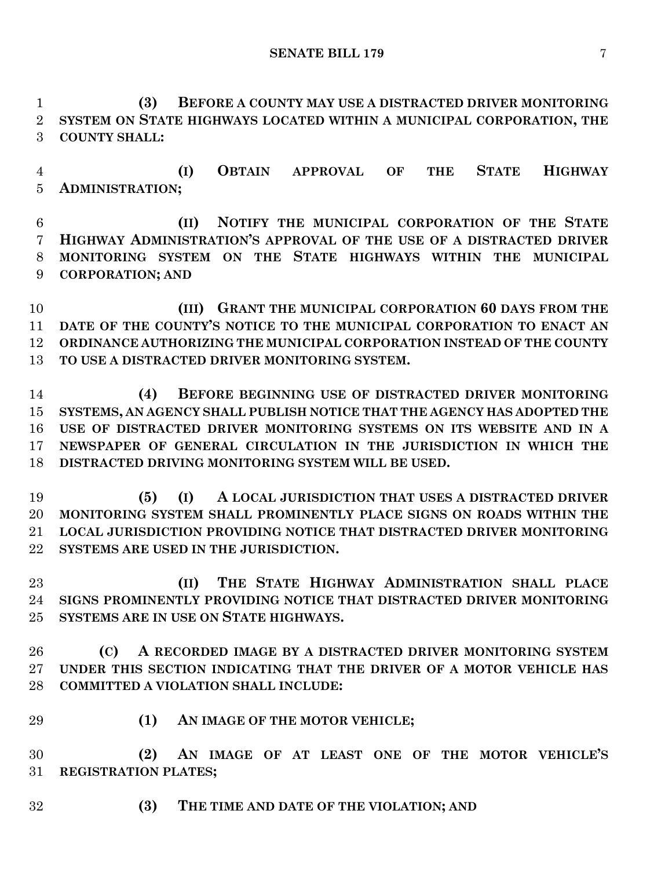**(3) BEFORE A COUNTY MAY USE A DISTRACTED DRIVER MONITORING SYSTEM ON STATE HIGHWAYS LOCATED WITHIN A MUNICIPAL CORPORATION, THE COUNTY SHALL:**

 **(I) OBTAIN APPROVAL OF THE STATE HIGHWAY ADMINISTRATION;**

 **(II) NOTIFY THE MUNICIPAL CORPORATION OF THE STATE HIGHWAY ADMINISTRATION'S APPROVAL OF THE USE OF A DISTRACTED DRIVER MONITORING SYSTEM ON THE STATE HIGHWAYS WITHIN THE MUNICIPAL CORPORATION; AND**

 **(III) GRANT THE MUNICIPAL CORPORATION 60 DAYS FROM THE DATE OF THE COUNTY'S NOTICE TO THE MUNICIPAL CORPORATION TO ENACT AN ORDINANCE AUTHORIZING THE MUNICIPAL CORPORATION INSTEAD OF THE COUNTY TO USE A DISTRACTED DRIVER MONITORING SYSTEM.**

 **(4) BEFORE BEGINNING USE OF DISTRACTED DRIVER MONITORING SYSTEMS, AN AGENCY SHALL PUBLISH NOTICE THAT THE AGENCY HAS ADOPTED THE USE OF DISTRACTED DRIVER MONITORING SYSTEMS ON ITS WEBSITE AND IN A NEWSPAPER OF GENERAL CIRCULATION IN THE JURISDICTION IN WHICH THE DISTRACTED DRIVING MONITORING SYSTEM WILL BE USED.**

 **(5) (I) A LOCAL JURISDICTION THAT USES A DISTRACTED DRIVER MONITORING SYSTEM SHALL PROMINENTLY PLACE SIGNS ON ROADS WITHIN THE LOCAL JURISDICTION PROVIDING NOTICE THAT DISTRACTED DRIVER MONITORING SYSTEMS ARE USED IN THE JURISDICTION.**

 **(II) THE STATE HIGHWAY ADMINISTRATION SHALL PLACE SIGNS PROMINENTLY PROVIDING NOTICE THAT DISTRACTED DRIVER MONITORING SYSTEMS ARE IN USE ON STATE HIGHWAYS.**

 **(C) A RECORDED IMAGE BY A DISTRACTED DRIVER MONITORING SYSTEM UNDER THIS SECTION INDICATING THAT THE DRIVER OF A MOTOR VEHICLE HAS COMMITTED A VIOLATION SHALL INCLUDE:**

**(1) AN IMAGE OF THE MOTOR VEHICLE;**

 **(2) AN IMAGE OF AT LEAST ONE OF THE MOTOR VEHICLE'S REGISTRATION PLATES;**

**(3) THE TIME AND DATE OF THE VIOLATION; AND**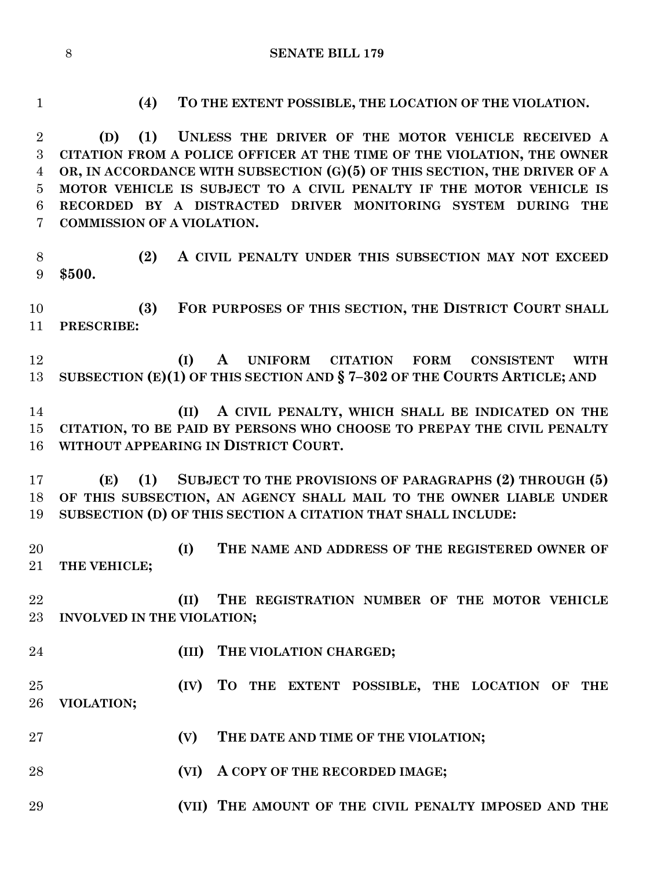**(4) TO THE EXTENT POSSIBLE, THE LOCATION OF THE VIOLATION. (D) (1) UNLESS THE DRIVER OF THE MOTOR VEHICLE RECEIVED A CITATION FROM A POLICE OFFICER AT THE TIME OF THE VIOLATION, THE OWNER OR, IN ACCORDANCE WITH SUBSECTION (G)(5) OF THIS SECTION, THE DRIVER OF A MOTOR VEHICLE IS SUBJECT TO A CIVIL PENALTY IF THE MOTOR VEHICLE IS RECORDED BY A DISTRACTED DRIVER MONITORING SYSTEM DURING THE COMMISSION OF A VIOLATION. (2) A CIVIL PENALTY UNDER THIS SUBSECTION MAY NOT EXCEED \$500. (3) FOR PURPOSES OF THIS SECTION, THE DISTRICT COURT SHALL PRESCRIBE: (I) A UNIFORM CITATION FORM CONSISTENT WITH SUBSECTION (E)(1) OF THIS SECTION AND § 7–302 OF THE COURTS ARTICLE; AND (II) A CIVIL PENALTY, WHICH SHALL BE INDICATED ON THE CITATION, TO BE PAID BY PERSONS WHO CHOOSE TO PREPAY THE CIVIL PENALTY WITHOUT APPEARING IN DISTRICT COURT. (E) (1) SUBJECT TO THE PROVISIONS OF PARAGRAPHS (2) THROUGH (5) OF THIS SUBSECTION, AN AGENCY SHALL MAIL TO THE OWNER LIABLE UNDER SUBSECTION (D) OF THIS SECTION A CITATION THAT SHALL INCLUDE: (I) THE NAME AND ADDRESS OF THE REGISTERED OWNER OF THE VEHICLE; (II) THE REGISTRATION NUMBER OF THE MOTOR VEHICLE INVOLVED IN THE VIOLATION; (III) THE VIOLATION CHARGED; (IV) TO THE EXTENT POSSIBLE, THE LOCATION OF THE VIOLATION; (V) THE DATE AND TIME OF THE VIOLATION; (VI) A COPY OF THE RECORDED IMAGE; (VII) THE AMOUNT OF THE CIVIL PENALTY IMPOSED AND THE**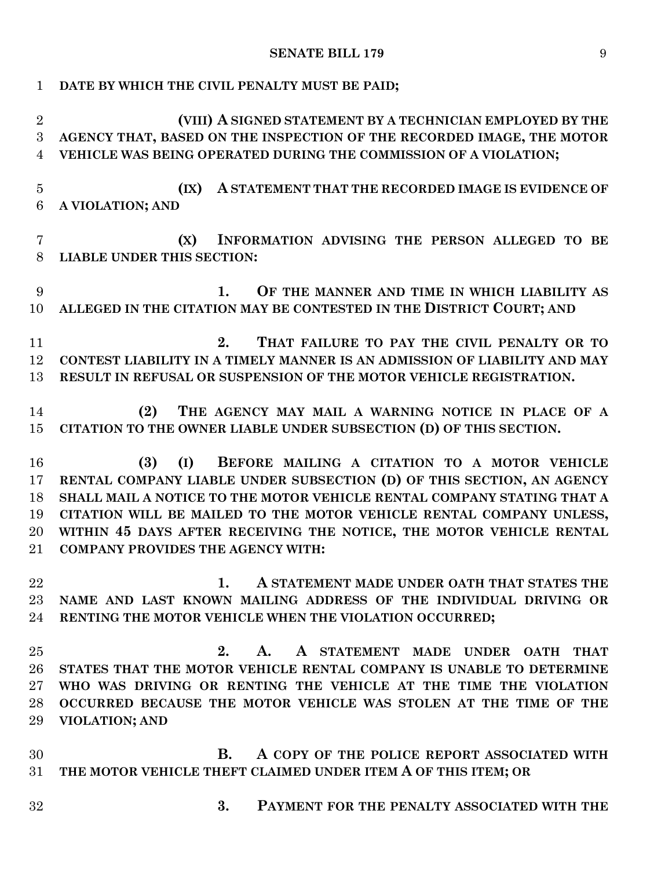| $\mathbf{1}$   | DATE BY WHICH THE CIVIL PENALTY MUST BE PAID;                             |
|----------------|---------------------------------------------------------------------------|
| $\overline{2}$ | (VIII) A SIGNED STATEMENT BY A TECHNICIAN EMPLOYED BY THE                 |
| 3              | AGENCY THAT, BASED ON THE INSPECTION OF THE RECORDED IMAGE, THE MOTOR     |
| 4              | VEHICLE WAS BEING OPERATED DURING THE COMMISSION OF A VIOLATION;          |
| $\overline{5}$ | A STATEMENT THAT THE RECORDED IMAGE IS EVIDENCE OF<br>(IX)                |
| 6              | A VIOLATION; AND                                                          |
| $\overline{7}$ | INFORMATION ADVISING THE PERSON ALLEGED TO BE<br>(X)                      |
| 8              | <b>LIABLE UNDER THIS SECTION:</b>                                         |
| 9              | OF THE MANNER AND TIME IN WHICH LIABILITY AS<br>1.                        |
| 10             | ALLEGED IN THE CITATION MAY BE CONTESTED IN THE DISTRICT COURT; AND       |
| 11             | 2.<br>THAT FAILURE TO PAY THE CIVIL PENALTY OR TO                         |
| 12             | CONTEST LIABILITY IN A TIMELY MANNER IS AN ADMISSION OF LIABILITY AND MAY |
| 13             | RESULT IN REFUSAL OR SUSPENSION OF THE MOTOR VEHICLE REGISTRATION.        |
| 14             | THE AGENCY MAY MAIL A WARNING NOTICE IN PLACE OF A<br>(2)                 |
| 15             | CITATION TO THE OWNER LIABLE UNDER SUBSECTION (D) OF THIS SECTION.        |
| 16             | BEFORE MAILING A CITATION TO A MOTOR VEHICLE<br>(3)<br>(I)                |
| 17             | RENTAL COMPANY LIABLE UNDER SUBSECTION (D) OF THIS SECTION, AN AGENCY     |
| 18             | SHALL MAIL A NOTICE TO THE MOTOR VEHICLE RENTAL COMPANY STATING THAT A    |
| 19             | CITATION WILL BE MAILED TO THE MOTOR VEHICLE RENTAL COMPANY UNLESS,       |
| 20             | WITHIN 45 DAYS AFTER RECEIVING THE NOTICE, THE MOTOR VEHICLE RENTAL       |
| 21             | <b>COMPANY PROVIDES THE AGENCY WITH:</b>                                  |
| 22             | A STATEMENT MADE UNDER OATH THAT STATES THE<br>1.                         |
| 23             | NAME AND LAST KNOWN MAILING ADDRESS OF THE INDIVIDUAL DRIVING OR          |
| 24             | RENTING THE MOTOR VEHICLE WHEN THE VIOLATION OCCURRED;                    |
| 25             | 2.<br>A.<br>A STATEMENT MADE UNDER OATH<br><b>THAT</b>                    |
| 26             | STATES THAT THE MOTOR VEHICLE RENTAL COMPANY IS UNABLE TO DETERMINE       |
| 27             | WHO WAS DRIVING OR RENTING THE VEHICLE AT THE TIME THE VIOLATION          |
| 28             | OCCURRED BECAUSE THE MOTOR VEHICLE WAS STOLEN AT THE TIME OF THE          |
| 29             | <b>VIOLATION; AND</b>                                                     |
| 30             | <b>B.</b><br>A COPY OF THE POLICE REPORT ASSOCIATED WITH                  |
| 31             | THE MOTOR VEHICLE THEFT CLAIMED UNDER ITEM A OF THIS ITEM; OR             |
| 32             | 3.<br>PAYMENT FOR THE PENALTY ASSOCIATED WITH THE                         |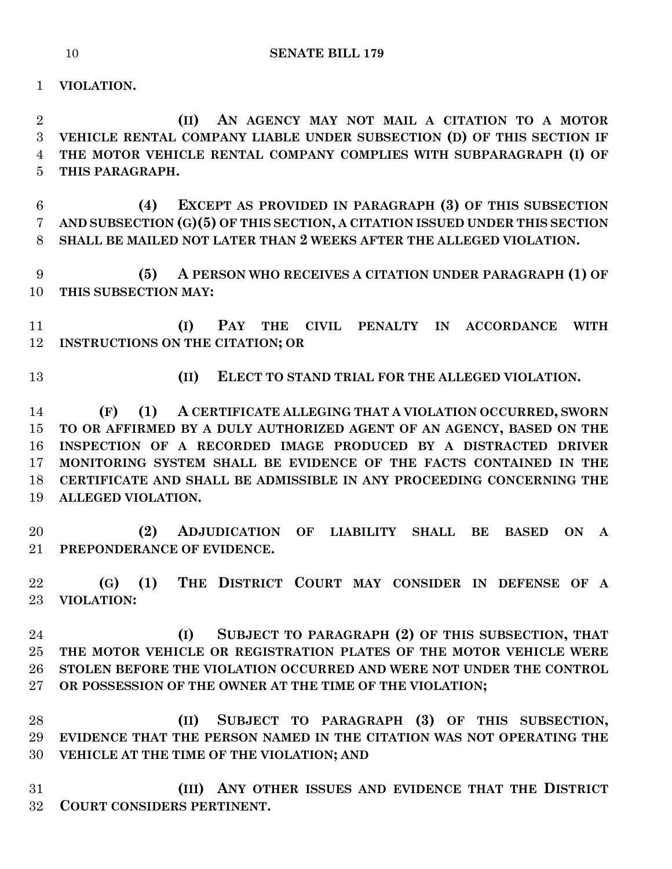**VIOLATION.**

 **(II) AN AGENCY MAY NOT MAIL A CITATION TO A MOTOR VEHICLE RENTAL COMPANY LIABLE UNDER SUBSECTION (D) OF THIS SECTION IF THE MOTOR VEHICLE RENTAL COMPANY COMPLIES WITH SUBPARAGRAPH (I) OF THIS PARAGRAPH.**

 **(4) EXCEPT AS PROVIDED IN PARAGRAPH (3) OF THIS SUBSECTION AND SUBSECTION (G)(5) OF THIS SECTION, A CITATION ISSUED UNDER THIS SECTION SHALL BE MAILED NOT LATER THAN 2 WEEKS AFTER THE ALLEGED VIOLATION.**

 **(5) A PERSON WHO RECEIVES A CITATION UNDER PARAGRAPH (1) OF THIS SUBSECTION MAY:**

 **(I) PAY THE CIVIL PENALTY IN ACCORDANCE WITH INSTRUCTIONS ON THE CITATION; OR**

**(II) ELECT TO STAND TRIAL FOR THE ALLEGED VIOLATION.**

 **(F) (1) A CERTIFICATE ALLEGING THAT A VIOLATION OCCURRED, SWORN TO OR AFFIRMED BY A DULY AUTHORIZED AGENT OF AN AGENCY, BASED ON THE INSPECTION OF A RECORDED IMAGE PRODUCED BY A DISTRACTED DRIVER MONITORING SYSTEM SHALL BE EVIDENCE OF THE FACTS CONTAINED IN THE CERTIFICATE AND SHALL BE ADMISSIBLE IN ANY PROCEEDING CONCERNING THE ALLEGED VIOLATION.**

 **(2) ADJUDICATION OF LIABILITY SHALL BE BASED ON A PREPONDERANCE OF EVIDENCE.**

 **(G) (1) THE DISTRICT COURT MAY CONSIDER IN DEFENSE OF A VIOLATION:**

 **(I) SUBJECT TO PARAGRAPH (2) OF THIS SUBSECTION, THAT THE MOTOR VEHICLE OR REGISTRATION PLATES OF THE MOTOR VEHICLE WERE STOLEN BEFORE THE VIOLATION OCCURRED AND WERE NOT UNDER THE CONTROL OR POSSESSION OF THE OWNER AT THE TIME OF THE VIOLATION;**

 **(II) SUBJECT TO PARAGRAPH (3) OF THIS SUBSECTION, EVIDENCE THAT THE PERSON NAMED IN THE CITATION WAS NOT OPERATING THE VEHICLE AT THE TIME OF THE VIOLATION; AND**

 **(III) ANY OTHER ISSUES AND EVIDENCE THAT THE DISTRICT COURT CONSIDERS PERTINENT.**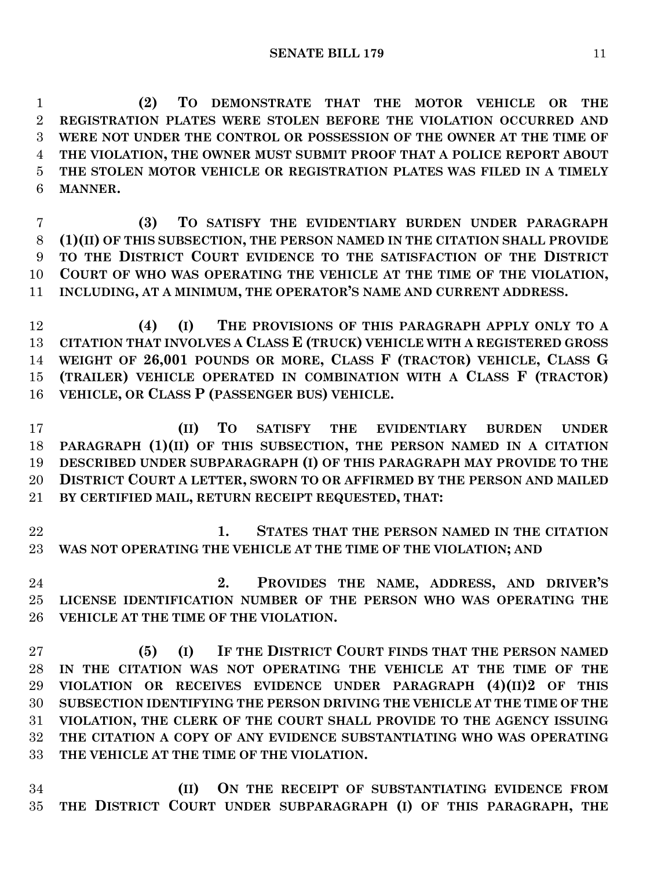**(2) TO DEMONSTRATE THAT THE MOTOR VEHICLE OR THE REGISTRATION PLATES WERE STOLEN BEFORE THE VIOLATION OCCURRED AND WERE NOT UNDER THE CONTROL OR POSSESSION OF THE OWNER AT THE TIME OF THE VIOLATION, THE OWNER MUST SUBMIT PROOF THAT A POLICE REPORT ABOUT THE STOLEN MOTOR VEHICLE OR REGISTRATION PLATES WAS FILED IN A TIMELY MANNER.**

 **(3) TO SATISFY THE EVIDENTIARY BURDEN UNDER PARAGRAPH (1)(II) OF THIS SUBSECTION, THE PERSON NAMED IN THE CITATION SHALL PROVIDE TO THE DISTRICT COURT EVIDENCE TO THE SATISFACTION OF THE DISTRICT COURT OF WHO WAS OPERATING THE VEHICLE AT THE TIME OF THE VIOLATION, INCLUDING, AT A MINIMUM, THE OPERATOR'S NAME AND CURRENT ADDRESS.**

 **(4) (I) THE PROVISIONS OF THIS PARAGRAPH APPLY ONLY TO A CITATION THAT INVOLVES A CLASS E (TRUCK) VEHICLE WITH A REGISTERED GROSS WEIGHT OF 26,001 POUNDS OR MORE, CLASS F (TRACTOR) VEHICLE, CLASS G (TRAILER) VEHICLE OPERATED IN COMBINATION WITH A CLASS F (TRACTOR) VEHICLE, OR CLASS P (PASSENGER BUS) VEHICLE.**

 **(II) TO SATISFY THE EVIDENTIARY BURDEN UNDER PARAGRAPH (1)(II) OF THIS SUBSECTION, THE PERSON NAMED IN A CITATION DESCRIBED UNDER SUBPARAGRAPH (I) OF THIS PARAGRAPH MAY PROVIDE TO THE DISTRICT COURT A LETTER, SWORN TO OR AFFIRMED BY THE PERSON AND MAILED BY CERTIFIED MAIL, RETURN RECEIPT REQUESTED, THAT:**

 **1. STATES THAT THE PERSON NAMED IN THE CITATION WAS NOT OPERATING THE VEHICLE AT THE TIME OF THE VIOLATION; AND**

 **2. PROVIDES THE NAME, ADDRESS, AND DRIVER'S LICENSE IDENTIFICATION NUMBER OF THE PERSON WHO WAS OPERATING THE VEHICLE AT THE TIME OF THE VIOLATION.**

 **(5) (I) IF THE DISTRICT COURT FINDS THAT THE PERSON NAMED IN THE CITATION WAS NOT OPERATING THE VEHICLE AT THE TIME OF THE VIOLATION OR RECEIVES EVIDENCE UNDER PARAGRAPH (4)(II)2 OF THIS SUBSECTION IDENTIFYING THE PERSON DRIVING THE VEHICLE AT THE TIME OF THE VIOLATION, THE CLERK OF THE COURT SHALL PROVIDE TO THE AGENCY ISSUING THE CITATION A COPY OF ANY EVIDENCE SUBSTANTIATING WHO WAS OPERATING THE VEHICLE AT THE TIME OF THE VIOLATION.**

 **(II) ON THE RECEIPT OF SUBSTANTIATING EVIDENCE FROM THE DISTRICT COURT UNDER SUBPARAGRAPH (I) OF THIS PARAGRAPH, THE**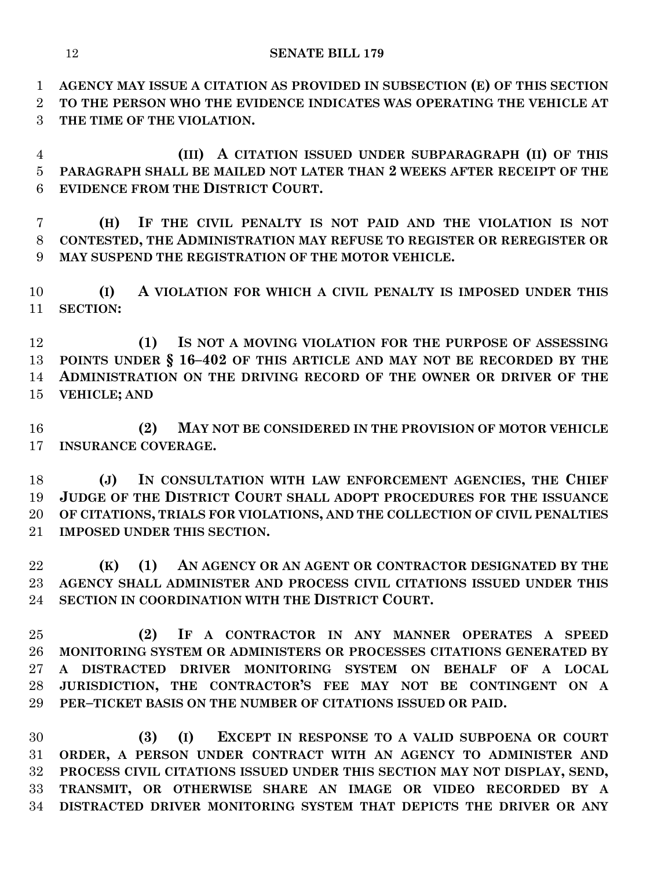**AGENCY MAY ISSUE A CITATION AS PROVIDED IN SUBSECTION (E) OF THIS SECTION TO THE PERSON WHO THE EVIDENCE INDICATES WAS OPERATING THE VEHICLE AT THE TIME OF THE VIOLATION.**

 **(III) A CITATION ISSUED UNDER SUBPARAGRAPH (II) OF THIS PARAGRAPH SHALL BE MAILED NOT LATER THAN 2 WEEKS AFTER RECEIPT OF THE EVIDENCE FROM THE DISTRICT COURT.**

 **(H) IF THE CIVIL PENALTY IS NOT PAID AND THE VIOLATION IS NOT CONTESTED, THE ADMINISTRATION MAY REFUSE TO REGISTER OR REREGISTER OR MAY SUSPEND THE REGISTRATION OF THE MOTOR VEHICLE.**

 **(I) A VIOLATION FOR WHICH A CIVIL PENALTY IS IMPOSED UNDER THIS SECTION:**

 **(1) IS NOT A MOVING VIOLATION FOR THE PURPOSE OF ASSESSING POINTS UNDER § 16–402 OF THIS ARTICLE AND MAY NOT BE RECORDED BY THE ADMINISTRATION ON THE DRIVING RECORD OF THE OWNER OR DRIVER OF THE VEHICLE; AND**

 **(2) MAY NOT BE CONSIDERED IN THE PROVISION OF MOTOR VEHICLE INSURANCE COVERAGE.**

 **(J) IN CONSULTATION WITH LAW ENFORCEMENT AGENCIES, THE CHIEF JUDGE OF THE DISTRICT COURT SHALL ADOPT PROCEDURES FOR THE ISSUANCE OF CITATIONS, TRIALS FOR VIOLATIONS, AND THE COLLECTION OF CIVIL PENALTIES IMPOSED UNDER THIS SECTION.**

 **(K) (1) AN AGENCY OR AN AGENT OR CONTRACTOR DESIGNATED BY THE AGENCY SHALL ADMINISTER AND PROCESS CIVIL CITATIONS ISSUED UNDER THIS SECTION IN COORDINATION WITH THE DISTRICT COURT.**

 **(2) IF A CONTRACTOR IN ANY MANNER OPERATES A SPEED MONITORING SYSTEM OR ADMINISTERS OR PROCESSES CITATIONS GENERATED BY A DISTRACTED DRIVER MONITORING SYSTEM ON BEHALF OF A LOCAL JURISDICTION, THE CONTRACTOR'S FEE MAY NOT BE CONTINGENT ON A PER–TICKET BASIS ON THE NUMBER OF CITATIONS ISSUED OR PAID.**

 **(3) (I) EXCEPT IN RESPONSE TO A VALID SUBPOENA OR COURT ORDER, A PERSON UNDER CONTRACT WITH AN AGENCY TO ADMINISTER AND PROCESS CIVIL CITATIONS ISSUED UNDER THIS SECTION MAY NOT DISPLAY, SEND, TRANSMIT, OR OTHERWISE SHARE AN IMAGE OR VIDEO RECORDED BY A DISTRACTED DRIVER MONITORING SYSTEM THAT DEPICTS THE DRIVER OR ANY**